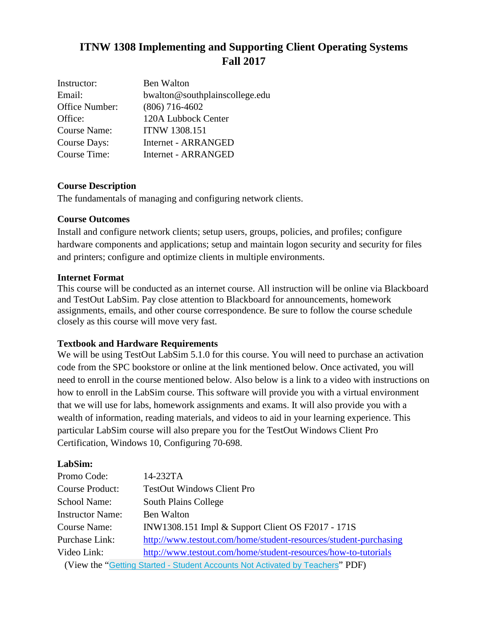# **ITNW 1308 Implementing and Supporting Client Operating Systems Fall 2017**

| Instructor:         | Ben Walton                     |
|---------------------|--------------------------------|
| Email:              | bwalton@southplainscollege.edu |
| Office Number:      | $(806)$ 716-4602               |
| Office:             | 120A Lubbock Center            |
| Course Name:        | <b>ITNW 1308.151</b>           |
| Course Days:        | <b>Internet - ARRANGED</b>     |
| <b>Course Time:</b> | Internet - ARRANGED            |

# **Course Description**

The fundamentals of managing and configuring network clients.

## **Course Outcomes**

Install and configure network clients; setup users, groups, policies, and profiles; configure hardware components and applications; setup and maintain logon security and security for files and printers; configure and optimize clients in multiple environments.

## **Internet Format**

This course will be conducted as an internet course. All instruction will be online via Blackboard and TestOut LabSim. Pay close attention to Blackboard for announcements, homework assignments, emails, and other course correspondence. Be sure to follow the course schedule closely as this course will move very fast.

# **Textbook and Hardware Requirements**

We will be using TestOut LabSim 5.1.0 for this course. You will need to purchase an activation code from the SPC bookstore or online at the link mentioned below. Once activated, you will need to enroll in the course mentioned below. Also below is a link to a video with instructions on how to enroll in the LabSim course. This software will provide you with a virtual environment that we will use for labs, homework assignments and exams. It will also provide you with a wealth of information, reading materials, and videos to aid in your learning experience. This particular LabSim course will also prepare you for the TestOut Windows Client Pro Certification, Windows 10, Configuring 70-698.

#### **LabSim:**

| Promo Code:             | 14-232TA                                                                      |
|-------------------------|-------------------------------------------------------------------------------|
| <b>Course Product:</b>  | <b>TestOut Windows Client Pro</b>                                             |
| School Name:            | <b>South Plains College</b>                                                   |
| <b>Instructor Name:</b> | <b>Ben Walton</b>                                                             |
| Course Name:            | INW1308.151 Impl & Support Client OS F2017 - 171S                             |
| Purchase Link:          | http://www.testout.com/home/student-resources/student-purchasing              |
| Video Link:             | http://www.testout.com/home/student-resources/how-to-tutorials                |
|                         | (View the "Getting Started - Student Accounts Not Activated by Teachers" PDF) |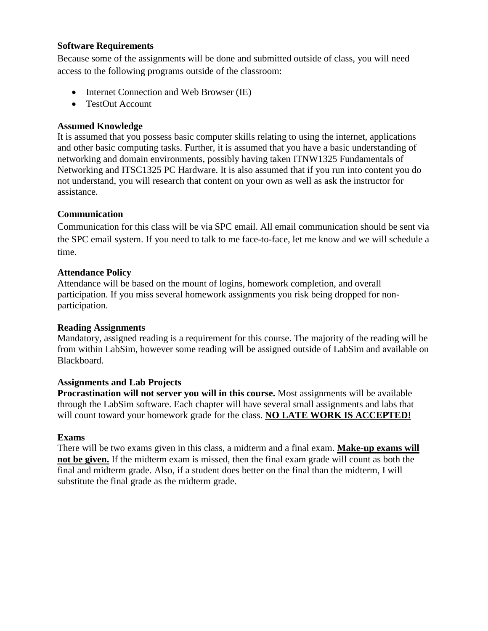#### **Software Requirements**

Because some of the assignments will be done and submitted outside of class, you will need access to the following programs outside of the classroom:

- Internet Connection and Web Browser (IE)
- TestOut Account

# **Assumed Knowledge**

It is assumed that you possess basic computer skills relating to using the internet, applications and other basic computing tasks. Further, it is assumed that you have a basic understanding of networking and domain environments, possibly having taken ITNW1325 Fundamentals of Networking and ITSC1325 PC Hardware. It is also assumed that if you run into content you do not understand, you will research that content on your own as well as ask the instructor for assistance.

# **Communication**

Communication for this class will be via SPC email. All email communication should be sent via the SPC email system. If you need to talk to me face-to-face, let me know and we will schedule a time.

# **Attendance Policy**

Attendance will be based on the mount of logins, homework completion, and overall participation. If you miss several homework assignments you risk being dropped for nonparticipation.

# **Reading Assignments**

Mandatory, assigned reading is a requirement for this course. The majority of the reading will be from within LabSim, however some reading will be assigned outside of LabSim and available on Blackboard.

# **Assignments and Lab Projects**

**Procrastination will not server you will in this course.** Most assignments will be available through the LabSim software. Each chapter will have several small assignments and labs that will count toward your homework grade for the class. **NO LATE WORK IS ACCEPTED!**

# **Exams**

There will be two exams given in this class, a midterm and a final exam. **Make-up exams will not be given.** If the midterm exam is missed, then the final exam grade will count as both the final and midterm grade. Also, if a student does better on the final than the midterm, I will substitute the final grade as the midterm grade.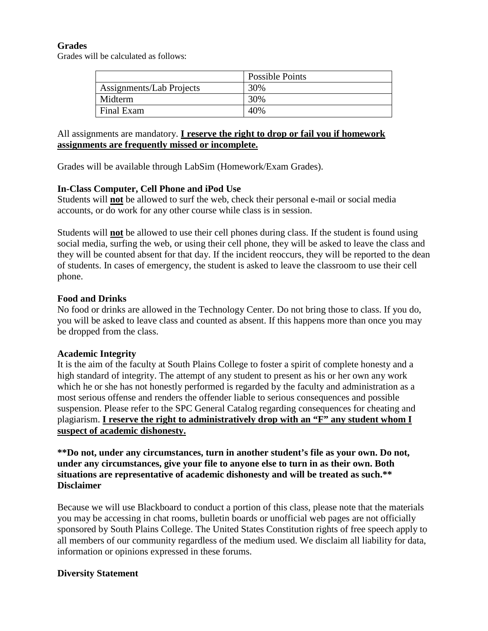## **Grades**

Grades will be calculated as follows:

|                          | Possible Points |
|--------------------------|-----------------|
| Assignments/Lab Projects | 30%             |
| Midterm                  | 30%             |
| Final Exam               | 40%             |

# All assignments are mandatory. **I reserve the right to drop or fail you if homework assignments are frequently missed or incomplete.**

Grades will be available through LabSim (Homework/Exam Grades).

## **In-Class Computer, Cell Phone and iPod Use**

Students will **not** be allowed to surf the web, check their personal e-mail or social media accounts, or do work for any other course while class is in session.

Students will **not** be allowed to use their cell phones during class. If the student is found using social media, surfing the web, or using their cell phone, they will be asked to leave the class and they will be counted absent for that day. If the incident reoccurs, they will be reported to the dean of students. In cases of emergency, the student is asked to leave the classroom to use their cell phone.

## **Food and Drinks**

No food or drinks are allowed in the Technology Center. Do not bring those to class. If you do, you will be asked to leave class and counted as absent. If this happens more than once you may be dropped from the class.

#### **Academic Integrity**

It is the aim of the faculty at South Plains College to foster a spirit of complete honesty and a high standard of integrity. The attempt of any student to present as his or her own any work which he or she has not honestly performed is regarded by the faculty and administration as a most serious offense and renders the offender liable to serious consequences and possible suspension. Please refer to the SPC General Catalog regarding consequences for cheating and plagiarism. **I reserve the right to administratively drop with an "F" any student whom I suspect of academic dishonesty.**

**\*\*Do not, under any circumstances, turn in another student's file as your own. Do not, under any circumstances, give your file to anyone else to turn in as their own. Both situations are representative of academic dishonesty and will be treated as such.\*\* Disclaimer** 

Because we will use Blackboard to conduct a portion of this class, please note that the materials you may be accessing in chat rooms, bulletin boards or unofficial web pages are not officially sponsored by South Plains College. The United States Constitution rights of free speech apply to all members of our community regardless of the medium used. We disclaim all liability for data, information or opinions expressed in these forums.

# **Diversity Statement**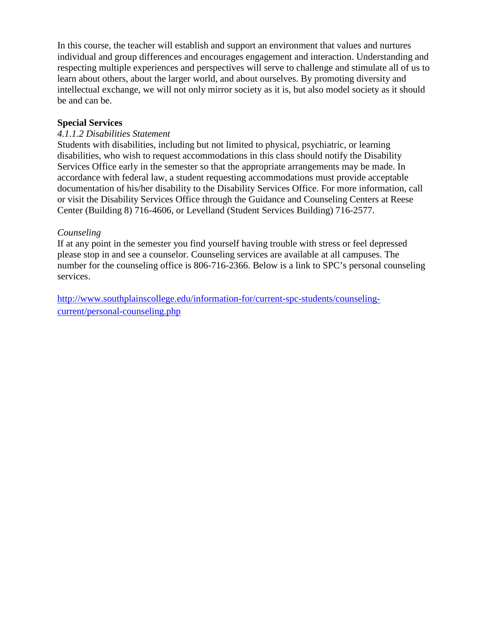In this course, the teacher will establish and support an environment that values and nurtures individual and group differences and encourages engagement and interaction. Understanding and respecting multiple experiences and perspectives will serve to challenge and stimulate all of us to learn about others, about the larger world, and about ourselves. By promoting diversity and intellectual exchange, we will not only mirror society as it is, but also model society as it should be and can be.

## **Special Services**

#### *4.1.1.2 Disabilities Statement*

Students with disabilities, including but not limited to physical, psychiatric, or learning disabilities, who wish to request accommodations in this class should notify the Disability Services Office early in the semester so that the appropriate arrangements may be made. In accordance with federal law, a student requesting accommodations must provide acceptable documentation of his/her disability to the Disability Services Office. For more information, call or visit the Disability Services Office through the Guidance and Counseling Centers at Reese Center (Building 8) [716-4606,](tel:716-4606) or Levelland (Student Services Building) [716-2577.](tel:716-2577)

## *Counseling*

If at any point in the semester you find yourself having trouble with stress or feel depressed please stop in and see a counselor. Counseling services are available at all campuses. The number for the counseling office is 806-716-2366. Below is a link to SPC's personal counseling services.

[http://www.southplainscollege.edu/information-for/current-spc-students/counseling](http://www.southplainscollege.edu/information-for/current-spc-students/counseling-current/personal-counseling.php)[current/personal-counseling.php](http://www.southplainscollege.edu/information-for/current-spc-students/counseling-current/personal-counseling.php)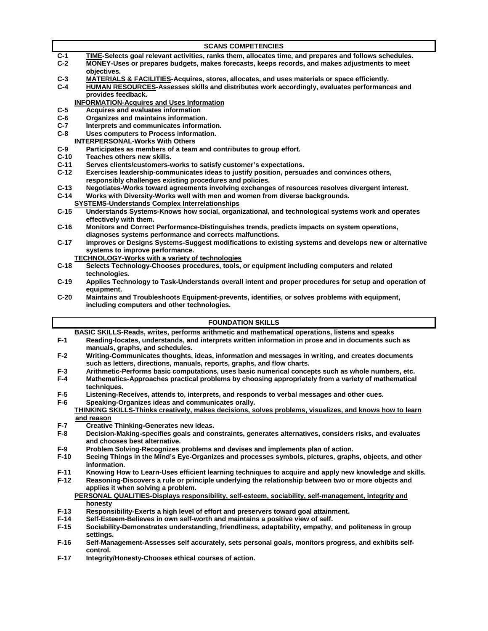|                  | <b>SCANS COMPETENCIES</b>                                                                                                                                                             |
|------------------|---------------------------------------------------------------------------------------------------------------------------------------------------------------------------------------|
| $C-1$            | TIME-Selects goal relevant activities, ranks them, allocates time, and prepares and follows schedules.                                                                                |
| $C-2$            | <b>MONEY-Uses or prepares budgets, makes forecasts, keeps records, and makes adjustments to meet</b>                                                                                  |
|                  | objectives.                                                                                                                                                                           |
| $C-3$            | <b>MATERIALS &amp; FACILITIES-Acquires, stores, allocates, and uses materials or space efficiently.</b>                                                                               |
| $C-4$            | <b>HUMAN RESOURCES-Assesses skills and distributes work accordingly, evaluates performances and</b>                                                                                   |
|                  | provides feedback.<br><b>INFORMATION-Acquires and Uses Information</b>                                                                                                                |
| $C-5$            | Acquires and evaluates information                                                                                                                                                    |
| $C-6$            | Organizes and maintains information.                                                                                                                                                  |
| $C-7$            | Interprets and communicates information.                                                                                                                                              |
| $C-8$            | Uses computers to Process information.                                                                                                                                                |
|                  | <b>INTERPERSONAL-Works With Others</b>                                                                                                                                                |
| $C-9$            | Participates as members of a team and contributes to group effort.                                                                                                                    |
| $C-10$<br>$C-11$ | Teaches others new skills.                                                                                                                                                            |
| $C-12$           | Serves clients/customers-works to satisfy customer's expectations.<br>Exercises leadership-communicates ideas to justify position, persuades and convinces others,                    |
|                  | responsibly challenges existing procedures and policies.                                                                                                                              |
| $C-13$           | Negotiates-Works toward agreements involving exchanges of resources resolves divergent interest.                                                                                      |
| $C-14$           | Works with Diversity-Works well with men and women from diverse backgrounds.                                                                                                          |
|                  | <b>SYSTEMS-Understands Complex Interrelationships</b>                                                                                                                                 |
| $C-15$           | Understands Systems-Knows how social, organizational, and technological systems work and operates                                                                                     |
|                  | effectively with them.                                                                                                                                                                |
| $C-16$           | Monitors and Correct Performance-Distinguishes trends, predicts impacts on system operations,<br>diagnoses systems performance and corrects malfunctions.                             |
| $C-17$           | improves or Designs Systems-Suggest modifications to existing systems and develops new or alternative                                                                                 |
|                  | systems to improve performance.                                                                                                                                                       |
|                  | <b>TECHNOLOGY-Works with a variety of technologies</b>                                                                                                                                |
| $C-18$           | Selects Technology-Chooses procedures, tools, or equipment including computers and related                                                                                            |
|                  | technologies.                                                                                                                                                                         |
| $C-19$           | Applies Technology to Task-Understands overall intent and proper procedures for setup and operation of                                                                                |
|                  |                                                                                                                                                                                       |
|                  | equipment.                                                                                                                                                                            |
| $C-20$           | Maintains and Troubleshoots Equipment-prevents, identifies, or solves problems with equipment,                                                                                        |
|                  | including computers and other technologies.                                                                                                                                           |
|                  | <b>FOUNDATION SKILLS</b>                                                                                                                                                              |
|                  | BASIC SKILLS-Reads, writes, performs arithmetic and mathematical operations, listens and speaks                                                                                       |
| $F-1$            | Reading-locates, understands, and interprets written information in prose and in documents such as                                                                                    |
|                  | manuals, graphs, and schedules.                                                                                                                                                       |
| $F-2$            | Writing-Communicates thoughts, ideas, information and messages in writing, and creates documents                                                                                      |
|                  | such as letters, directions, manuals, reports, graphs, and flow charts.                                                                                                               |
| $F-3$            | Arithmetic-Performs basic computations, uses basic numerical concepts such as whole numbers, etc.                                                                                     |
| F-4              | Mathematics-Approaches practical problems by choosing appropriately from a variety of mathematical<br>techniques.                                                                     |
| F-5              | Listening-Receives, attends to, interprets, and responds to verbal messages and other cues.                                                                                           |
| $F-6$            | Speaking-Organizes ideas and communicates orally.                                                                                                                                     |
|                  | THINKING SKILLS-Thinks creatively, makes decisions, solves problems, visualizes, and knows how to learn                                                                               |
|                  | and reason                                                                                                                                                                            |
| $F-7$            | <b>Creative Thinking-Generates new ideas.</b>                                                                                                                                         |
| $F-8$            | Decision-Making-specifies goals and constraints, generates alternatives, considers risks, and evaluates                                                                               |
|                  | and chooses best alternative.                                                                                                                                                         |
| $F-9$            | Problem Solving-Recognizes problems and devises and implements plan of action.                                                                                                        |
| $F-10$           | Seeing Things in the Mind's Eye-Organizes and processes symbols, pictures, graphs, objects, and other<br>information.                                                                 |
| $F-11$           | Knowing How to Learn-Uses efficient learning techniques to acquire and apply new knowledge and skills.                                                                                |
| $F-12$           | Reasoning-Discovers a rule or principle underlying the relationship between two or more objects and                                                                                   |
|                  | applies it when solving a problem.                                                                                                                                                    |
|                  | PERSONAL QUALITIES-Displays responsibility, self-esteem, sociability, self-management, integrity and                                                                                  |
|                  | honesty                                                                                                                                                                               |
| $F-13$           | Responsibility-Exerts a high level of effort and preservers toward goal attainment.                                                                                                   |
| $F-14$<br>$F-15$ | Self-Esteem-Believes in own self-worth and maintains a positive view of self.<br>Sociability-Demonstrates understanding, friendliness, adaptability, empathy, and politeness in group |

- **F-16 Self-Management-Assesses self accurately, sets personal goals, monitors progress, and exhibits selfcontrol.**
- **F-17 Integrity/Honesty-Chooses ethical courses of action.**